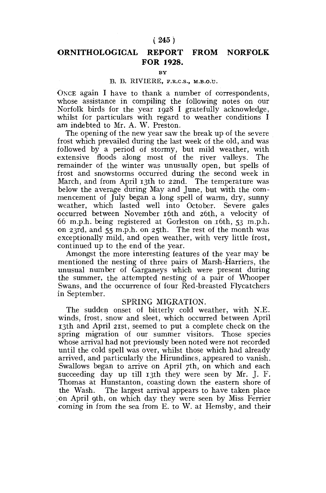## **( 245 )**

# **ORNITHOLOGICAL REPORT FROM NORFOLK FOR 1928.**

#### **BY**

### B. B. RIVIERE, F.R.C.S., M.B.O.U.

ONCE again I have to thank a number of correspondents, whose assistance in compiling the following notes on our Norfolk birds for the year 1928 I gratefully acknowledge, whilst for particulars with regard to weather conditions I am indebted to Mr. A. W. Preston.

The opening of the new year saw the break up of the severe frost which prevailed during the last week of the old, and was followed by a period of stormy, but mild weather, with extensive floods along most of the river valleys. The remainder of the winter was unusually open, but spells of frost and snowstorms occurred during the second week in March, and from April 13th to 22nd. The temperature was below the average during May and June, but with the commencement of July began a long spell of warm, dry, sunny weather, which lasted well into October. Severe gales occurred between November 16th and 26th, a velocity of 66 m.p.h. being registered at Gorleston on 16th, 53 m.p.h. on 23rd, and 55 m.p.h. on 25th. The rest of the month was exceptionally mild, and open weather, with very little frost, continued up to the end of the year.

Amongst the more interesting features of the year may be mentioned the nesting of three pairs of Marsh-Harriers, the unusual number of Garganeys which were present during the summer, the attempted nesting of a pair of Whooper Swans, and the occurrence of four Red-breasted Flycatchers in September.

#### SPRING MIGRATION.

The sudden onset of bitterly cold weather, with N.E. winds, frost, snow and sleet, which occurred between April 13th and April 21st, seemed to put a complete check on the spring migration of our summer visitors. Those species whose arrival had not previously been noted were not recorded until the cold spell was over, whilst those which had already arrived, and particularly the Hirundines, appeared to vanish. Swallows began to arrive on April 7th, on which and each succeeding day up till 13th they were seen by Mr. J. F. Thomas at Hunstanton, coasting down the eastern shore of the Wash. The largest arrival appears to have taken place on April 9th, on which day they were seen by Miss Ferrier coming in from the sea from E. to W. at Hemsby, and their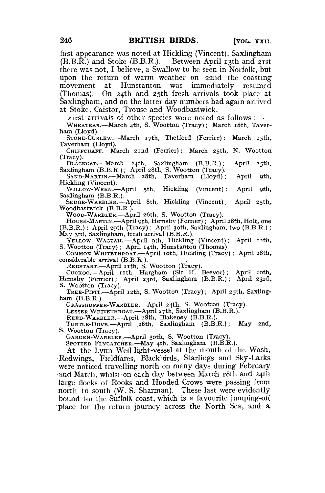first appearance was noted at Hickling (Vincent), Saxlingham  $(B.B.\overline{R})$  and Stoke (B.B.R.). Between April 13th and 21st there was not, I believe, a Swallow to be seen in Norfolk, but upon the return of warm weather on 22nd the coasting movement at Hunstanton was immediately resumed (Thomas). On 24th and 25th fresh arrivals took place at Saxlingham, and on the latter day numbers had again arrived at Stoke, Caistor, Trouse and Woodbastwick.

First arrivals of other species were noted as follows :—

WHEATEAR.—March 4th, S, Wootton (Tracy); March 18th, Taverham (Lloyd).

STONE-CURLEW.—March 17th, Thetford (Ferrier); March 25th, Taverham (Lloyd).

CHIFFCHAFF.—March 22nd (Ferrier); March 25th, N. Wootton (Tracy).

BLACKCAP.—March 24th, Saxlingham (B.B.R.); April 25th, Saxlingham (B.B.R.); April 28th, S. Wootton (Tracy).

SAND-MARTIN.'—March 28th, Taverham (Lloyd); April 9th, Hickling (Vincent).

WILLOW-WREN.—April 5th, Hickling (Vincent); April 9th, Saxlingham (B.B.R.).

SEDGE-WARBLER.—April 8th, Hickling (Vincent); April 25th, Woodbastwick (B.B.R.).

WOOD-WARBLER.—April 26th, S. Wootton (Tracy).

HOUSE-MARTIN.—April 9th, Hemsby (Ferrier); April 28th, Holt, one (B.B.R.); April 29th (Tracy); April 30th, Saxlingham, two (B.B.R.); May 3rd, Saxlingham, fresh arrival (B.B.R.).

YELLOW WAGTAIL.—April 9th, Hickling (Vincent); April 12th, S. Wootton (Tracy); April 14th, Hunstanton (Thomas).

COMMON WHITETHROAT.—-April 10th, Hickling (Tracy); April 28th, considerable arrival (B.B.R.).

REDSTART.—April 11th, S. Wootton (Tracy).<br>Cuckoo.—April 11th, Hargham (Sir H. Beevor); April 10th, Hemsby (Ferrier); April 23rd, Saxlingham (B.B.R.); April 23rd, S. Wootton (Tracy).

TREE-PIPIT.—April 12th, S. Wootton (Tracy); April 25th, Saxlingham (B.B:R,).

GRASSHOPPER-WARBLER,—-April 24th, S. Wootton (Tracy).

LESSER WHITETHROAT.—April 27th, Saxlingham (B.B.R.).

REED-WARBLER.—April 28th, Blakeney (B.B.R.).

TURTLE-DOVE.—April 28th, Saxlingham (B.B.R.); May 2nd,

GARDEN-WARBLER.-April 30th, S. Wootton (Tracy).

SPOTTED FLYCATCHER.—May 4th, Saxlingham  $(B.B.R.)$ .

At the Lynn Well light-vessel at the mouth of the Wash, Redwings, Fieldfares, Blackbirds, Starlings and Skv-Larks were noticed travelling north on many days during February and March, whilst on each day between March 18th and 24th large flocks of Rooks and Hooded Crows were passing from north to south (W. S. Sharman). These last were evidently bound for the Suffolk coast, which is a favourite jumping-off bound for the Suffolk coast, which is a favourite jumping one<br>place for the return journey across the North Sea. and a place for the return journey across the North Sea, and a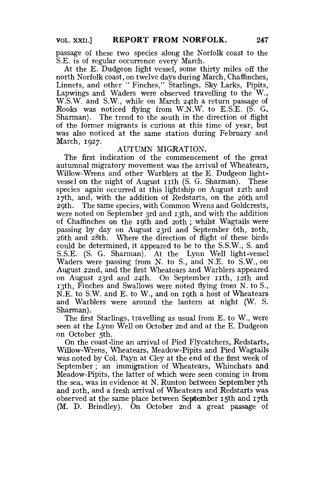passage of these two species along the Norfolk coast to the S.E. is of regular occurrence every March.

At the E. Dudgeon light vessel, some thirty miles off the north Norfolk coast, on twelve days during March, Chaffinches, Linnets, and other " Finches," Starlings, Sky Larks, Pipits, Lapwings and Waders were observed travelling to the W., W.S.W. and S.W., while on March 24th a return passage of Rooks was noticed flying from W.N.W. to E.S.E. (S. G. Sharman). The trend to the south in the direction of flight of the former migrants is curious at this time of year, but was also noticed at the same station during February and March, 1927.

### AUTUMN MIGRATION.

The first indication of the commencement of the great autumnal migratory movement was the arrival of Wheatears, Willow-Wrens and other Warblers at the E. Dudgeon lightvessel on the night of August 11th (S. G. Sharman). These species again occurred at this lightship on August 12th and 17th, and, with the addition of Redstarts, on the 26th and 29th. The same species, with Common Wrens and Goldcrests, were noted on September 3rd and 13th, and with the addition of Chaffinches on the 19th and 20th ; whilst Wagtails were passing by day on August 23rd and September 6th, 10th, 26th and 28th. Where the direction of flight of these birds could be determined, it appeared to be to the S.S.W., S. and S.S.E. (S. G. Sharman). At the Lynn Well light-vessel Waders were passing from N. to S., and N.E. to S.W., on August 22nd, and the first Wheatears and Warblers appeared on August 23rd and 24th. On September 11th, 12th and 13th, Finches and Swallows were noted flying from N. to S., N.E. to S.W. and E. to W., and on 19th a host of Wheatears and Warblers were around the lantern at night (W. S. Sharman).

The first Starlings, travelling as usual from E. to W., were seen at the Lynn Well on October 2nd and at the E. Dudgeon on October 5th.

On the coast-line an arrival of Pied Flycatchers, Redstarts, Willow-Wrens, Wheatears, Meadow-Pipits and Pied Wagtails was noted by Col. Payn at Cley at the end of the first week of September; an immigration of Wheatears, Whinchats and Meadow-Pipits, the latter of which were seen coming in from the sea, was in evidence at N. Runton between September 7th and 10th, and a fresh arrival of Wheatears and Redstarts was observed at the same place between September 15th and 17th (M. D. Brindley). On October 2nd: a great passage of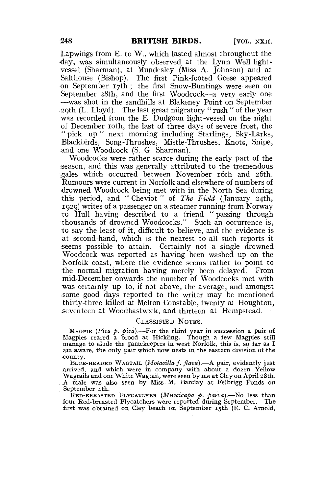Lapwings from E. to W., which lasted almost throughout the day, was simultaneously observed at the Lynn Well lightvessel (Sharman), at Mundesley (Miss A. Johnson) and at Salthouse (Bishop). The first Pink-footed Geese appeared on September 17th ; the first Snow-Buntings were seen on September 28th, and the first Woodcock—a very early one —was shot in the sandhills at Blakeney Point on September •29th (L. Lloyd). The last great migratory " rush " of the year was recorded from the E. Dudgeon light-vessel on the night of December 10th, the last of three days of severe frost, the \*' pick up " next morning including Starlings, Sky-Larks, Blackbirds, Song-Thrushes, Mistle-Thrushes, Knots, Snipe, and one Woodcock (S. G. Sharman).

Woodcocks were rather scarce during the early part of the season, and this was generally attributed to the tremendous gales which occurred between November 16th and 26th. Rumours were current in Norfolk and elsewhere of numbers of -drowned Woodcock being met with in the North Sea during this period, and " Cheviot " of *The Field* (January 24th, 1929) writes of a passenger on a steamer running from Norway to Hull having described to a friend " passing through thousands of drowned Woodcocks." Such an occurrence is, to say the least of it, difficult to believe, and the evidence is at second-hand, which is the nearest to all such reports it seems possible to attain. Certainly not a single drowned Woodcock was reported as having been washed up on the Norfolk coast, where the evidence seems rather to point to the normal migration having merely been delayed. From mid-December onwards the number of Woodcocks met with was certainly up to, if not above, the average, and amongst some good days reported to the writer may be mentioned thirty-three killed at Melton Constable, twenty at Houghton, seventeen at Woodbastwick, and thirteen at Hempstead.

#### CLASSIFIED NOTES.

MAGPIE *(Pica p. pica).*—For the third year in succession a pair of Magpies reared a brood at Hickling. Though a few Magpies still manage to elude the gamekeepers in west Norfolk, this is, so far as I am aware, the only pair which now nests in the eastern division of the county.

BLUE-HEADED WAGTAIL *(Motacillu f. flava).*—A pair, evidently just .arrived, and which were in company with about a dozen Yellow Wagtails and one White Wagtail, were seen by me at Cley on April 28th. . A male was also seen by Miss. M. Barclay at Felbrigg Ponds on

September 4th. RED-BREASTED FLYCATCHER *(Muscicapa p. parva),—No* less than four Red-breasted Flycatchers were reported during September. The first was obtained on Cley beach on September 15th (E. C. Arnold,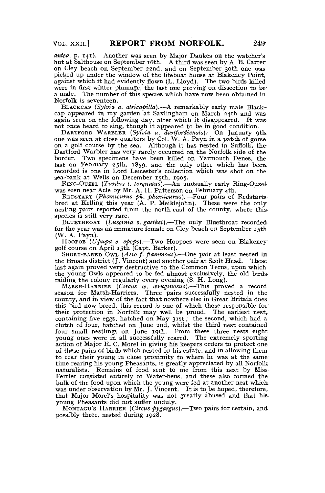*antea*, p. 141). Another was seen by Major Daukes on the watcher's hut at Salthouse on September 16th. A third was seen by A. B. Carter on Cley beach on September 22nd, and on September 30th one was picked up under the window of the lifeboat house at Blakeney Point. against which it had evidently flown (L. Lloyd). The two birds killed were in first winter plumage, the last one proving on dissection to bea male. The number of this species which have now been obtained in Norfolk is seventeen.

BLACKCAP *(Sylvia a. atricapilla).*—A remarkably early male Blackcap appeared in my garden at Saxlingham on March  $24$ th and was again seen on the following day, after which it disappeared. It was not once heard to sing, though it appeared to be in good condition.

DARXFORD WARBLER *(Sylvia u. dartfordiensis).*—On January 9th. one was seen at close quarters by Col. W. A. Payn in a patch of gorse on a golf course by the sea. Although it has nested in Suffolk, the Dartford Warbler has very rarely occurred on the Norfolk side of the border. Two specimens have been killed on Yarmouth Denes, the last on February 25th, 1859, and the only other which has beea recorded is one in Lord Leicester's collection which was shot on the sea-bank at Wells on December 15th, 1905.

RING-OUZEL *(Turdus t. torquatus).*—An unusually early Ring-Ouzel was seen near Acle by Mr. A. H. Patterson on February 4th.

REDSTART *(Phcenicurus ph. phcenicurus).*—-Four pairs of Redstarts-bred at Kelling this year (A. P. Meiklejohn). These were the only nesting pairs reported from the north-east of the county, where thisspecies is still very rare.

BLUETHROAT *(Luscinia s. gaetkei).*—The only Bluethroat recorded' for the year was an immature female on Cley beach on September 15th (W. A. Payn).

HOOPOE *(Upupa e. epops).*—Two Hoopoes were seen on Blakeney golf course on April 15th (Capt. Barker).

SHORT-EARED OWL (*Asio f. flammeus*).—One pair at least nested in the Broads district (J. Vincent) and another pair at Scolt Head. These last again proved very destructive to the Common Terns, upon which the young Owls appeared to be fed almost exclusively, the old birds raiding the colony regularly every evening (S. H. Long).

MARSH-HARRIER *(Circus as. asruginosus).*—This proved a record season for Marsh-Harriers. Three pairs successfully nested in the county, and in view of the fact that nowhere else in Great Britain does this bird now breed, this record is one of which those responsible for<br>their protection in Norfolk may well be proud. The earliest nest,<br>containing five eggs, hatched on May 31st; the second, which had a<br>clutch of four, ha four small nestlings on June 19th. From these three nests eight. young ones were in all successfully reared. The extremely sporting action of Major E. C. Morel in giving his keepers orders to protect one of these pairs of birds which nested on his estate, and in allowing them to rear their young in close proximity to where he was at the same time rearing his young Pheasants, is greatly appreciated by all Norfolk, naturalists. Remains of food sent to me from this nest by Miss-Ferrier consisted entirely of Water-hens, and these also formed the bulk of the food upon which the young were fed at another nest which was under observation by Mr. J. Vincent. It is to be hoped, therefore, that Major Morel's hospitality was not greatly abused and that his young Pheasants did not suffer unduly.

MONTAGU'S HARRIER (Circus pygargus).—Two pairs for certain, and possibly three, nested during 1928.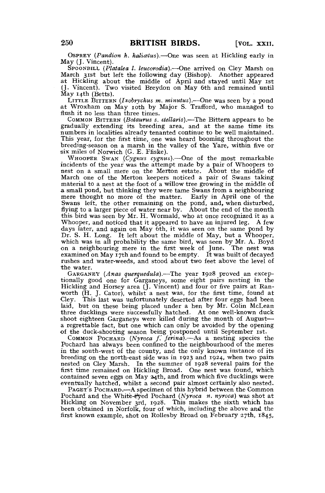OSPREY *{Pandion k. haliatus).*—One was seen at Hickling early in May (J. Vincent).

SPOONBILL (Platalea *I. leucorodia*).—One arrived on Cley Marsh on March 31st but left the following day (Bishop). Another appeared at Hickling about the middle of April and stayed until May 1st (J. Vincent). Two visited Breydon on May 6th and remained until May 14th (Betts).

LITTLE BITTERN *(Ixobrychus m. minutus).-*—One was seen by a pond at Wroxham on May 10th by Major S. Trafford, who managed to flush it no less than three times.

COMMON BITTERN *(Botaurus s. stellaris).*—The Bittern appears to be gradually extending its breeding area, and at the same time its numbers in localities already tenanted continue to be well maintained. This year, for the first time, one was heard booming throughout the breeding-season on a marsh in the valley of the Yare, within five or six miles of Norwich (G. E. Ffiske).

WHOOPER SWAN *(Cygnus cygnus).*—One of the most remarkable incidents of the year was the attempt made by a pair of Whoopers to nest on a small mere on the Merton estate. About the middle of March one of the Merton keepers noticed a pair of Swans taking material to a nest at the foot of a willow tree growing in the middle of a small pond, but thinking they were tame Swans from a neighbouring mere thought no more of the matter. Early in April one of the Swans left, the other remaining on the pond, and, when disturbed, flying to a larger piece of water near by. About the end of the month this bird was seen by Mr. H. Wormald, who at once recognized it as a Whooper, and noticed that it appeared to have an injured leg. A few days later, and again on May 6th, it was seen on the same pond by Dr. S. H. Long. It left about the middle of May, but a Whooper, which was in all probability the same bird, was seen by Mr. A. Boyd on a neighbouring mere in the first week of June. The nest was examined on May  $17th$  and found to be empty. It was built of decayed rushes and water-weeds, and stood about two feet above the level of the water.

GARGANEY (Anas querquedula).-The year 1928 proved an exceptionally good one for Garganeys, some eight pairs nesting in the Hickling and Horsey area (J. Vincent) and four or five pairs at Ranworth (H. J. Cator), whilst a nest was, for the first time, found at Cley. This last was unfortunately deserted after four eggs had been This last was unfortunately deserted after four eggs had been laid, but on these being placed under a hen by Mr. Colin McLean three ducklings were successfully hatched. At one well-known duck shoot eighteen Garganeys were killed during the month of August a regrettable fact, but one which can only be avoided by the opening of the duck-shooting season being postponed until September 1st.

COMMON POCHARD *(Nyroca f" jerina).*—As a nesting species the Pochard has always been confined to the neighbourhood of the meres in the south-west of the county, and the only known instance of its breeding on the north-east side was in 1923 and 1924, when two pairs nested on Cley Marsh. In the summer of 1928 several pairs for the first time remained on Hickling Broad. One nest was found, which contained seven eggs on May 24th, and from which five ducklings were eventually hatched, whilst a second pair almost certainly also nested.

PAGET'S POCHARD.—A specimen of this hybrid between the Common Pochard and the White-eyed Pochard (Nyroca n, nyroca) was shot at Hickling on November 3rd, 1928. This makes the sixth which has been obtained in Norfolk, four of which, including the above and the first known example, shot on Rollesby Broad on February 27th, 1845,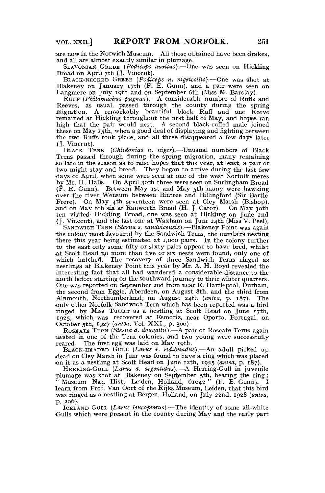are now in the Norwich Museum. All those obtained have been drakes, and all are almost exactly similar in plumage.

SLAVONIAN GREBE *(Podiceps auritus).*—One was seen on Hickling Broad on April 7th (J. Vincent).

BLACK-NECKED GREBE (Podiceps n. nigricollis).—One was shot at Blakeney on January 17th (F. E. Gunn), and a pair were seen on Langmere on July 19th and on September 6th (Miss M. Barclay).

RUFF (Philomachus pugnax).—A considerable number of Ruffs and Reeves, as usual, passed through the county during the spring migration. A remarkably beautiful black Ruff and one Reeve remained at Hickling throughout the first half of May, and hopes ran high that the pair would nest. A second black-ruffed male joined these on May 15th, when a good deal of displaying and fighting between the two Ruffs took place, and all three disappeared a few days later (J. Vincent).

BLACK TERN *(Chlidonias n. niger),*—Unusual numbers of Black Terns passed through during the spring migration, many remaining :so late in the season as to raise hopes that this year, at least, a pair or two might stay and breed. They began to arrive during the last few •days of April, when some were seen at one of the west Norfolk meres by Mr. H. Halls. On April 30th three were seen on Surlingham Broad (F. E. Gunn). Between May 1st and May 5th many were hawking •over the river Wensum between Bintree and Billingford (Sir Bartle Frere). On May 4th seventeen were seen at Cley Marsh (Bishop), and on May 8th six at Ranworth Broad (H. J. Cator). On May 30th ten visited Hickling Broad,-one was seen at Hickling on June 2nd (J. Vincent), and the last one at Waxham on June 24th (Miss V. Peel),

SANDWICH TERN *(Sterna s. sandvicensis).*—Blakeney Point was again the colony most favoured by the Sandwich Terns, the numbers nesting there this year being estimated at 1,000 pairs. In the colony further to the east only some fifty or sixty pairs appear to have bred, whilst a t Scolt Head no more than five or six nests were found, only one of which hatched. The recovery of three Sandwich Terns ringed as nestlings at Blakeney Point this year by Mr. A. H. Boyd revealed the interesting fact that all had wandered a considerable distance to the north before starting on the southward journey to their winter quarters. One was reported on September 2nd from near E. Hartlepool, Durham, the second from Eggie, Aberdeen, on August 8th, and the third from Alnmouth, Northumberland, on August 24th *(antea,* p. 187). The •only other Norfolk Sandwich Tern which has been reported was a bird ringed by Miss Turner as a nestling at Scolt Head on June 17th, 1925, which was recovered at Esmoriz, near Oporto, Portugal, on October 5th, 1927 *(antea,* Vol. XXI., p. 300).

ROSEATE TERN *(Sterna d. dougallii).*—A pair of Roseate Terns again nested in one of the Tern colonies, and two young were successfully reared. The first egg was laid on May 19th.

BLACK-HEADED GULL *(Larus r. ridibundus).*—An adult picked up •dead on Cley Marsh in June was found to have a ring which was placed on it as a nestling at Scolt Head on June 12th, 1925 (antea, p. 187).

HERRING-GULL *(Larus a. argentatus).*—A Herring-Gull in juvenile plumage was shot at Blakeney on September 5th, bearing the ring :<br>"Museum Nat. Hist., Leiden, Holland, 61042" (F. E. Gunn). I<br>learn from Prof. Van Oort of the Rijks Museum, Leiden, that this bird was ringed as a nestling at Bergen, Holland, on July 22nd, 1928 *(antea,*   $p. 206$ ).

ICELAND GULL *(Larus lemopterus).*—The identity of some all-white Gulls which were present in the county during May and the early part